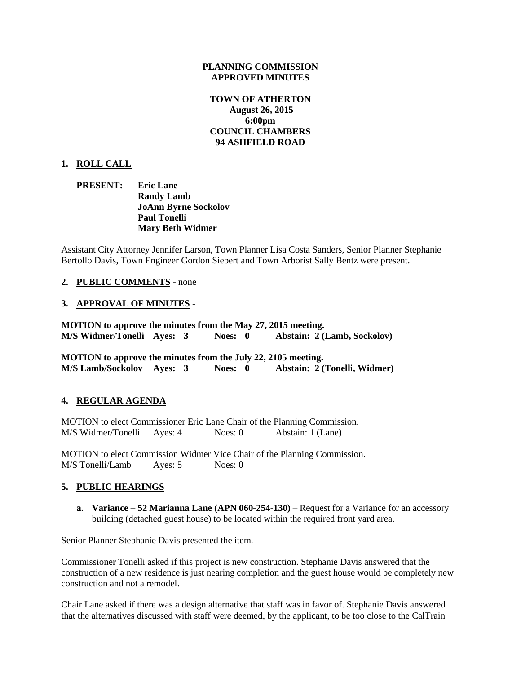### **PLANNING COMMISSION APPROVED MINUTES**

## **TOWN OF ATHERTON August 26, 2015 6:00pm COUNCIL CHAMBERS 94 ASHFIELD ROAD**

## **1. ROLL CALL**

## **PRESENT: Eric Lane Randy Lamb JoAnn Byrne Sockolov Paul Tonelli Mary Beth Widmer**

Assistant City Attorney Jennifer Larson, Town Planner Lisa Costa Sanders, Senior Planner Stephanie Bertollo Davis, Town Engineer Gordon Siebert and Town Arborist Sally Bentz were present.

## **2. PUBLIC COMMENTS** - none

# **3. APPROVAL OF MINUTES** -

**MOTION to approve the minutes from the May 27, 2015 meeting. M/S Widmer/Tonelli Ayes: 3 Noes: 0 Abstain: 2 (Lamb, Sockolov)**

**MOTION to approve the minutes from the July 22, 2105 meeting. M/S Lamb/Sockolov Ayes: 3 Noes: 0 Abstain: 2 (Tonelli, Widmer)**

# **4. REGULAR AGENDA**

MOTION to elect Commissioner Eric Lane Chair of the Planning Commission. M/S Widmer/Tonelli Ayes: 4 Noes: 0 Abstain: 1 (Lane)

MOTION to elect Commission Widmer Vice Chair of the Planning Commission. M/S Tonelli/Lamb Ayes: 5 Noes: 0

## **5. PUBLIC HEARINGS**

**a. Variance – 52 Marianna Lane (APN 060-254-130)** – Request for a Variance for an accessory building (detached guest house) to be located within the required front yard area.

Senior Planner Stephanie Davis presented the item.

Commissioner Tonelli asked if this project is new construction. Stephanie Davis answered that the construction of a new residence is just nearing completion and the guest house would be completely new construction and not a remodel.

Chair Lane asked if there was a design alternative that staff was in favor of. Stephanie Davis answered that the alternatives discussed with staff were deemed, by the applicant, to be too close to the CalTrain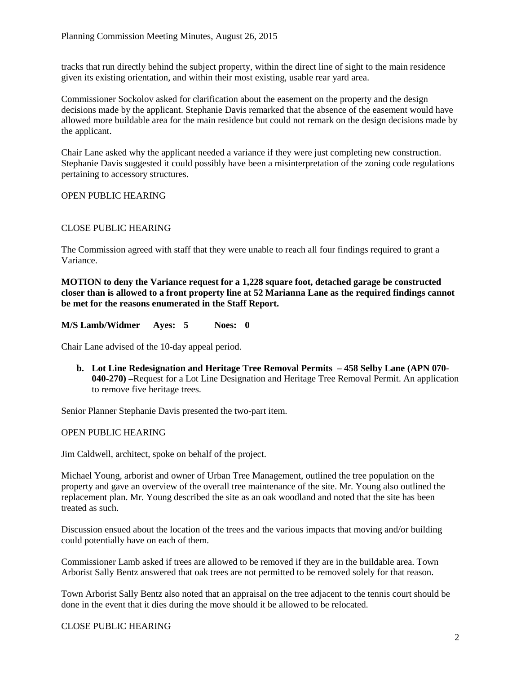tracks that run directly behind the subject property, within the direct line of sight to the main residence given its existing orientation, and within their most existing, usable rear yard area.

Commissioner Sockolov asked for clarification about the easement on the property and the design decisions made by the applicant. Stephanie Davis remarked that the absence of the easement would have allowed more buildable area for the main residence but could not remark on the design decisions made by the applicant.

Chair Lane asked why the applicant needed a variance if they were just completing new construction. Stephanie Davis suggested it could possibly have been a misinterpretation of the zoning code regulations pertaining to accessory structures.

## OPEN PUBLIC HEARING

## CLOSE PUBLIC HEARING

The Commission agreed with staff that they were unable to reach all four findings required to grant a Variance.

**MOTION to deny the Variance request for a 1,228 square foot, detached garage be constructed closer than is allowed to a front property line at 52 Marianna Lane as the required findings cannot be met for the reasons enumerated in the Staff Report.**

**M/S Lamb/Widmer Ayes: 5 Noes: 0**

Chair Lane advised of the 10-day appeal period.

**b. Lot Line Redesignation and Heritage Tree Removal Permits – 458 Selby Lane (APN 070- 040-270) –**Request for a Lot Line Designation and Heritage Tree Removal Permit. An application to remove five heritage trees.

Senior Planner Stephanie Davis presented the two-part item.

#### OPEN PUBLIC HEARING

Jim Caldwell, architect, spoke on behalf of the project.

Michael Young, arborist and owner of Urban Tree Management, outlined the tree population on the property and gave an overview of the overall tree maintenance of the site. Mr. Young also outlined the replacement plan. Mr. Young described the site as an oak woodland and noted that the site has been treated as such.

Discussion ensued about the location of the trees and the various impacts that moving and/or building could potentially have on each of them.

Commissioner Lamb asked if trees are allowed to be removed if they are in the buildable area. Town Arborist Sally Bentz answered that oak trees are not permitted to be removed solely for that reason.

Town Arborist Sally Bentz also noted that an appraisal on the tree adjacent to the tennis court should be done in the event that it dies during the move should it be allowed to be relocated.

#### CLOSE PUBLIC HEARING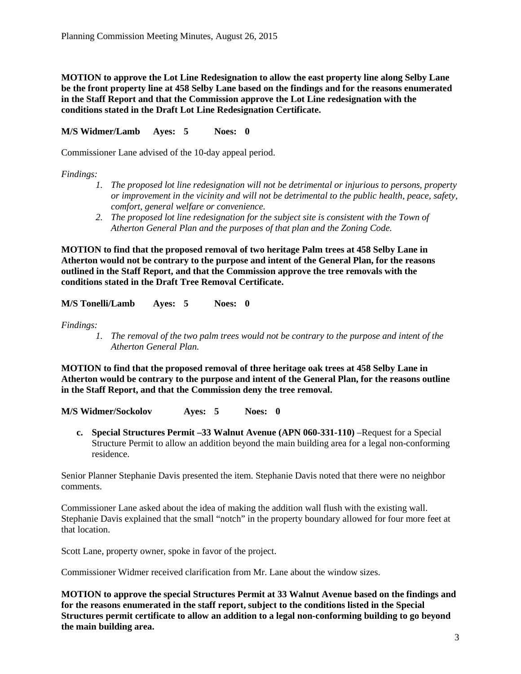**MOTION to approve the Lot Line Redesignation to allow the east property line along Selby Lane be the front property line at 458 Selby Lane based on the findings and for the reasons enumerated in the Staff Report and that the Commission approve the Lot Line redesignation with the conditions stated in the Draft Lot Line Redesignation Certificate.**

**M/S Widmer/Lamb Ayes: 5 Noes: 0**

Commissioner Lane advised of the 10-day appeal period.

*Findings:*

- *1. The proposed lot line redesignation will not be detrimental or injurious to persons, property or improvement in the vicinity and will not be detrimental to the public health, peace, safety, comfort, general welfare or convenience.*
- *2. The proposed lot line redesignation for the subject site is consistent with the Town of Atherton General Plan and the purposes of that plan and the Zoning Code.*

**MOTION to find that the proposed removal of two heritage Palm trees at 458 Selby Lane in Atherton would not be contrary to the purpose and intent of the General Plan, for the reasons outlined in the Staff Report, and that the Commission approve the tree removals with the conditions stated in the Draft Tree Removal Certificate.**

**M/S Tonelli/Lamb Ayes: 5 Noes: 0**

*Findings:*

*1. The removal of the two palm trees would not be contrary to the purpose and intent of the Atherton General Plan.*

**MOTION to find that the proposed removal of three heritage oak trees at 458 Selby Lane in Atherton would be contrary to the purpose and intent of the General Plan, for the reasons outline in the Staff Report, and that the Commission deny the tree removal.**

**M/S Widmer/Sockolov Ayes: 5 Noes: 0**

**c. Special Structures Permit –33 Walnut Avenue (APN 060-331-110)** –Request for a Special Structure Permit to allow an addition beyond the main building area for a legal non-conforming residence.

Senior Planner Stephanie Davis presented the item. Stephanie Davis noted that there were no neighbor comments.

Commissioner Lane asked about the idea of making the addition wall flush with the existing wall. Stephanie Davis explained that the small "notch" in the property boundary allowed for four more feet at that location.

Scott Lane, property owner, spoke in favor of the project.

Commissioner Widmer received clarification from Mr. Lane about the window sizes.

**MOTION to approve the special Structures Permit at 33 Walnut Avenue based on the findings and for the reasons enumerated in the staff report, subject to the conditions listed in the Special Structures permit certificate to allow an addition to a legal non-conforming building to go beyond the main building area.**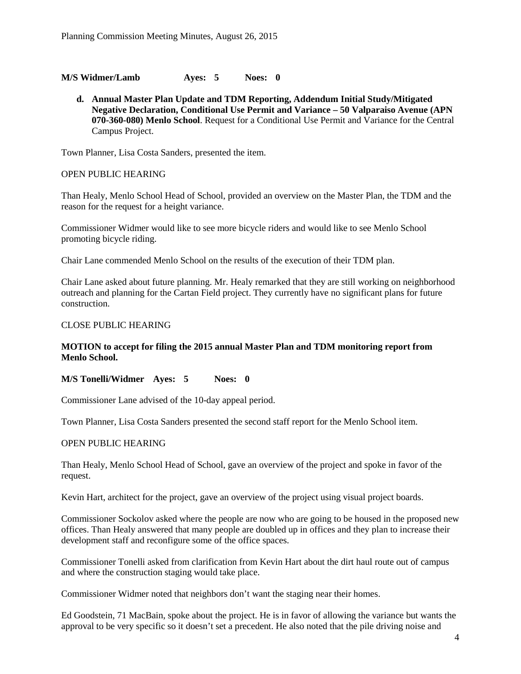**M/S Widmer/Lamb Ayes: 5 Noes: 0**

**d. Annual Master Plan Update and TDM Reporting, Addendum Initial Study/Mitigated Negative Declaration, Conditional Use Permit and Variance – 50 Valparaiso Avenue (APN 070-360-080) Menlo School**. Request for a Conditional Use Permit and Variance for the Central Campus Project.

Town Planner, Lisa Costa Sanders, presented the item.

#### OPEN PUBLIC HEARING

Than Healy, Menlo School Head of School, provided an overview on the Master Plan, the TDM and the reason for the request for a height variance.

Commissioner Widmer would like to see more bicycle riders and would like to see Menlo School promoting bicycle riding.

Chair Lane commended Menlo School on the results of the execution of their TDM plan.

Chair Lane asked about future planning. Mr. Healy remarked that they are still working on neighborhood outreach and planning for the Cartan Field project. They currently have no significant plans for future construction.

### CLOSE PUBLIC HEARING

## **MOTION to accept for filing the 2015 annual Master Plan and TDM monitoring report from Menlo School.**

**M/S Tonelli/Widmer Ayes: 5 Noes: 0**

Commissioner Lane advised of the 10-day appeal period.

Town Planner, Lisa Costa Sanders presented the second staff report for the Menlo School item.

## OPEN PUBLIC HEARING

Than Healy, Menlo School Head of School, gave an overview of the project and spoke in favor of the request.

Kevin Hart, architect for the project, gave an overview of the project using visual project boards.

Commissioner Sockolov asked where the people are now who are going to be housed in the proposed new offices. Than Healy answered that many people are doubled up in offices and they plan to increase their development staff and reconfigure some of the office spaces.

Commissioner Tonelli asked from clarification from Kevin Hart about the dirt haul route out of campus and where the construction staging would take place.

Commissioner Widmer noted that neighbors don't want the staging near their homes.

Ed Goodstein, 71 MacBain, spoke about the project. He is in favor of allowing the variance but wants the approval to be very specific so it doesn't set a precedent. He also noted that the pile driving noise and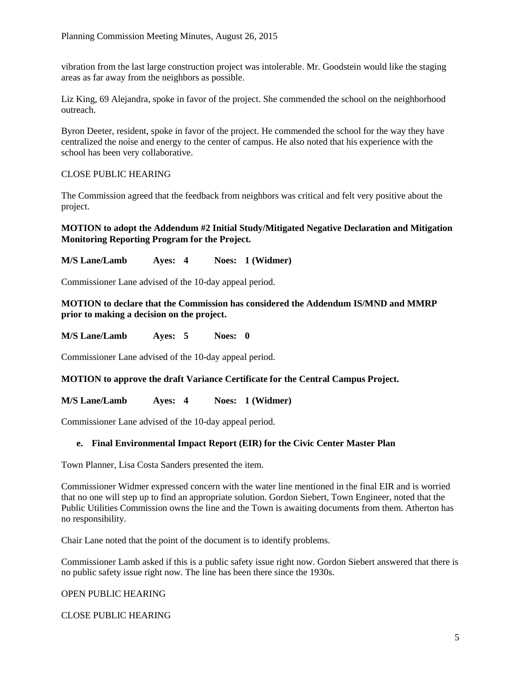vibration from the last large construction project was intolerable. Mr. Goodstein would like the staging areas as far away from the neighbors as possible.

Liz King, 69 Alejandra, spoke in favor of the project. She commended the school on the neighborhood outreach.

Byron Deeter, resident, spoke in favor of the project. He commended the school for the way they have centralized the noise and energy to the center of campus. He also noted that his experience with the school has been very collaborative.

# CLOSE PUBLIC HEARING

The Commission agreed that the feedback from neighbors was critical and felt very positive about the project.

# **MOTION to adopt the Addendum #2 Initial Study/Mitigated Negative Declaration and Mitigation Monitoring Reporting Program for the Project.**

**M/S Lane/Lamb Ayes: 4 Noes: 1 (Widmer)**

Commissioner Lane advised of the 10-day appeal period.

## **MOTION to declare that the Commission has considered the Addendum IS/MND and MMRP prior to making a decision on the project.**

**M/S Lane/Lamb Ayes: 5 Noes: 0**

Commissioner Lane advised of the 10-day appeal period.

**MOTION to approve the draft Variance Certificate for the Central Campus Project.**

**M/S Lane/Lamb Ayes: 4 Noes: 1 (Widmer)**

Commissioner Lane advised of the 10-day appeal period.

# **e. Final Environmental Impact Report (EIR) for the Civic Center Master Plan**

Town Planner, Lisa Costa Sanders presented the item.

Commissioner Widmer expressed concern with the water line mentioned in the final EIR and is worried that no one will step up to find an appropriate solution. Gordon Siebert, Town Engineer, noted that the Public Utilities Commission owns the line and the Town is awaiting documents from them. Atherton has no responsibility.

Chair Lane noted that the point of the document is to identify problems.

Commissioner Lamb asked if this is a public safety issue right now. Gordon Siebert answered that there is no public safety issue right now. The line has been there since the 1930s.

# OPEN PUBLIC HEARING

CLOSE PUBLIC HEARING